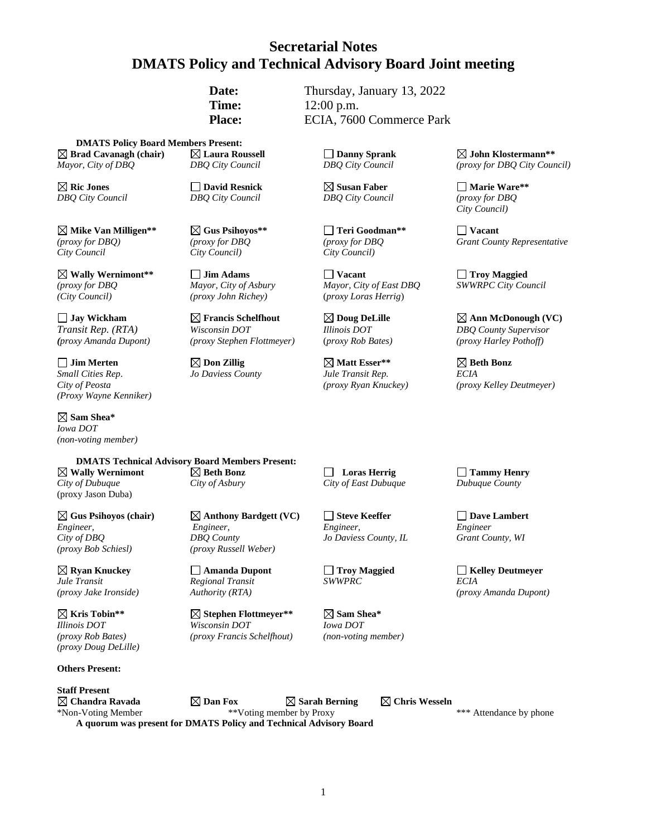# **Secretarial Notes DMATS Policy and Technical Advisory Board Joint meeting**

**Date:** Thursday, January 13, 2022 **Time:** 12:00 p.m. **Place:** ECIA, 7600 Commerce Park

**DMATS Policy Board Members Present: Brad Cavanagh (chair) Laura Roussell Danny Sprank John Klostermann\*\*** *Mayor, City of DBQ DBQ City Council DBQ City Council (proxy for DBQ City Council)*

**Mike Van Milligen\*\* Gus Psihoyos\*\* Teri Goodman\*\* Vacant** *City Council City Council) City Council)*

**Nally Wernimont\*\* Jim Adams Journal Property Constrained Adams Vacant Journal Property Constructional Property Construction Vacant Vacant Vacant Vacant Construction Vacant Vacant Vacant Vacant** *(City Council) (proxy John Richey)* (*proxy Loras Herrig*)

*(proxy Amanda Dupont) (proxy Stephen Flottmeyer)* (*proxy Rob Bates) (proxy Harley Pothoff)*

 $\Box$  Jim Merten  $\Box$   $\Box$  Don Zillig  $\Box$   $\Box$  Matt Esser\*\*  $\Box$  Beth Bonz *Small Cities Rep*. *Jo Daviess County Jule Transit Rep. ECIA (Proxy Wayne Kenniker)*

**Sam Shea\***  *Iowa DOT (non-voting member)*

**DMATS Technical Advisory Board Members Present:** *City of Dubuque City of Asbury City of East Dubuque Dubuque County* (proxy Jason Duba)

 $\boxtimes$  **Gus Psihoyos** (chair)  $\boxtimes$  **Anthony Bardgett** (VC)  $\Box$  Steve Keeffer  $\Box$  Dave Lambert *Engineer, Engineer, Engineer, Engineer City of DBQ DBQ County Jo Daviess County, IL Grant County, WI (proxy Bob Schiesl) (proxy Russell Weber)*

*Jule Transit Regional Transit SWWPRC ECIA*

**Kris Tobin\*\* Stephen Flottmeyer\*\* Sam Shea\*** *Illinois DOT Wisconsin DOT Iowa DOT (proxy Doug DeLille)*

#### **Others Present:**

**Staff Present**

**Ric Jones David Resnick Susan Faber Marie Ware\*\*** *DBQ City Council DBQ City Council DBQ City Council (proxy for DBQ*

*Transit Rep. (RTA) Wisconsin DOT Illinois DOT DBQ County Supervisor*

*(proxy for DBQ Mayor, City of Asbury Mayor, City of East DBQ SWWRPC City Council* 

*City Council)*

*(proxy for DBQ) (proxy for DBQ (proxy for DBQ Grant County Representative*

**Jay Wickham Francis Schelfhout Doug DeLille Ann McDonough (VC)**

*City of Peosta (proxy Ryan Knuckey) (proxy Kelley Deutmeyer)*

**Wally Wernimont Beth Bonz Loras Herrig Tammy Henry**

*(proxy Rob Bates) (proxy Francis Schelfhout) (non-voting member)*

**Requision Community Amanda Dupont Amanda Dupont C Replies Troy Maggied Amanda Dupont C C Kelley Deutmeyer CCIA CCIA** *(proxy Jake Ironside) Authority (RTA) (proxy Amanda Dupont)*

 $\boxtimes$  Chandra Ravada  $\boxtimes$  Dan Fox  $\boxtimes$  Sarah Berning  $\boxtimes$  Chris Wesseln \*Non-Voting Member \*\*Voting member by Proxy \*\*\* Attendance by phone **A quorum was present for DMATS Policy and Technical Advisory Board**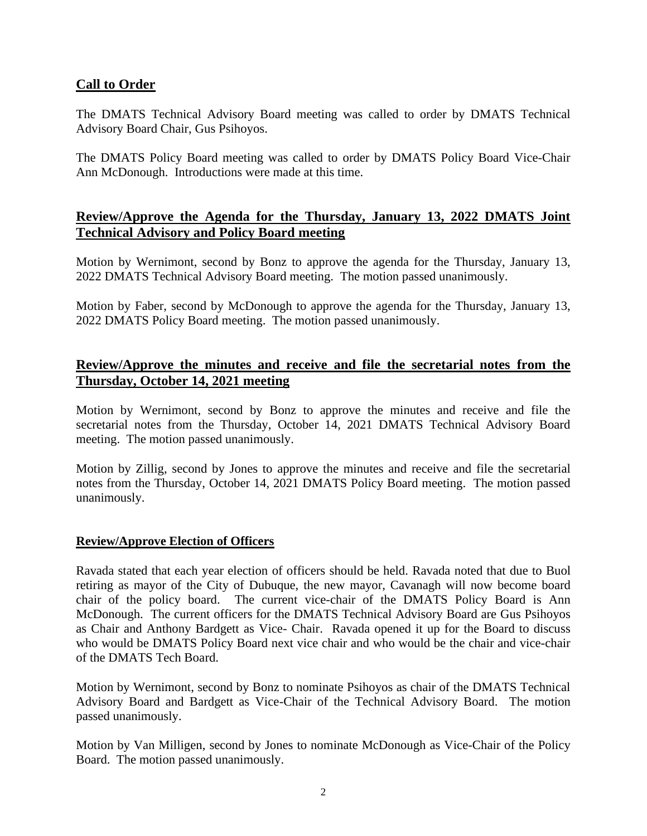#### **Call to Order**

The DMATS Technical Advisory Board meeting was called to order by DMATS Technical Advisory Board Chair, Gus Psihoyos.

The DMATS Policy Board meeting was called to order by DMATS Policy Board Vice-Chair Ann McDonough. Introductions were made at this time.

# **Review/Approve the Agenda for the Thursday, January 13, 2022 DMATS Joint Technical Advisory and Policy Board meeting**

Motion by Wernimont, second by Bonz to approve the agenda for the Thursday, January 13, 2022 DMATS Technical Advisory Board meeting. The motion passed unanimously.

Motion by Faber, second by McDonough to approve the agenda for the Thursday, January 13, 2022 DMATS Policy Board meeting. The motion passed unanimously.

## **Review/Approve the minutes and receive and file the secretarial notes from the Thursday, October 14, 2021 meeting**

Motion by Wernimont, second by Bonz to approve the minutes and receive and file the secretarial notes from the Thursday, October 14, 2021 DMATS Technical Advisory Board meeting. The motion passed unanimously.

Motion by Zillig, second by Jones to approve the minutes and receive and file the secretarial notes from the Thursday, October 14, 2021 DMATS Policy Board meeting. The motion passed unanimously.

#### **Review/Approve Election of Officers**

Ravada stated that each year election of officers should be held. Ravada noted that due to Buol retiring as mayor of the City of Dubuque, the new mayor, Cavanagh will now become board chair of the policy board. The current vice-chair of the DMATS Policy Board is Ann McDonough. The current officers for the DMATS Technical Advisory Board are Gus Psihoyos as Chair and Anthony Bardgett as Vice- Chair. Ravada opened it up for the Board to discuss who would be DMATS Policy Board next vice chair and who would be the chair and vice-chair of the DMATS Tech Board.

Motion by Wernimont, second by Bonz to nominate Psihoyos as chair of the DMATS Technical Advisory Board and Bardgett as Vice-Chair of the Technical Advisory Board. The motion passed unanimously.

Motion by Van Milligen, second by Jones to nominate McDonough as Vice-Chair of the Policy Board. The motion passed unanimously.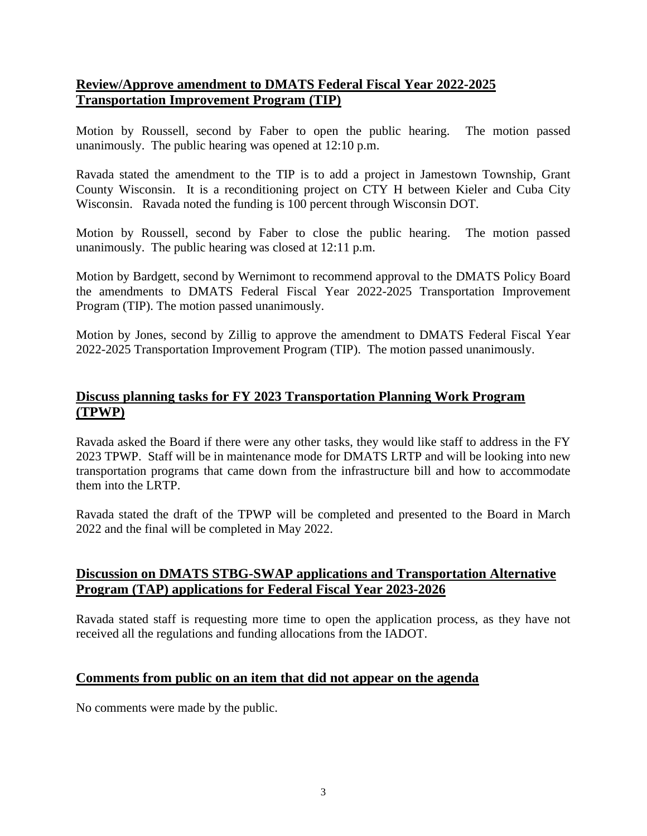# **Review/Approve amendment to DMATS Federal Fiscal Year 2022-2025 Transportation Improvement Program (TIP)**

Motion by Roussell, second by Faber to open the public hearing. The motion passed unanimously. The public hearing was opened at 12:10 p.m.

Ravada stated the amendment to the TIP is to add a project in Jamestown Township, Grant County Wisconsin. It is a reconditioning project on CTY H between Kieler and Cuba City Wisconsin. Ravada noted the funding is 100 percent through Wisconsin DOT.

Motion by Roussell, second by Faber to close the public hearing. The motion passed unanimously. The public hearing was closed at 12:11 p.m.

Motion by Bardgett, second by Wernimont to recommend approval to the DMATS Policy Board the amendments to DMATS Federal Fiscal Year 2022-2025 Transportation Improvement Program (TIP). The motion passed unanimously.

Motion by Jones, second by Zillig to approve the amendment to DMATS Federal Fiscal Year 2022-2025 Transportation Improvement Program (TIP). The motion passed unanimously.

# **Discuss planning tasks for FY 2023 Transportation Planning Work Program (TPWP)**

Ravada asked the Board if there were any other tasks, they would like staff to address in the FY 2023 TPWP. Staff will be in maintenance mode for DMATS LRTP and will be looking into new transportation programs that came down from the infrastructure bill and how to accommodate them into the LRTP.

Ravada stated the draft of the TPWP will be completed and presented to the Board in March 2022 and the final will be completed in May 2022.

#### **Discussion on DMATS STBG-SWAP applications and Transportation Alternative Program (TAP) applications for Federal Fiscal Year 2023-2026**

Ravada stated staff is requesting more time to open the application process, as they have not received all the regulations and funding allocations from the IADOT.

# **Comments from public on an item that did not appear on the agenda**

No comments were made by the public.